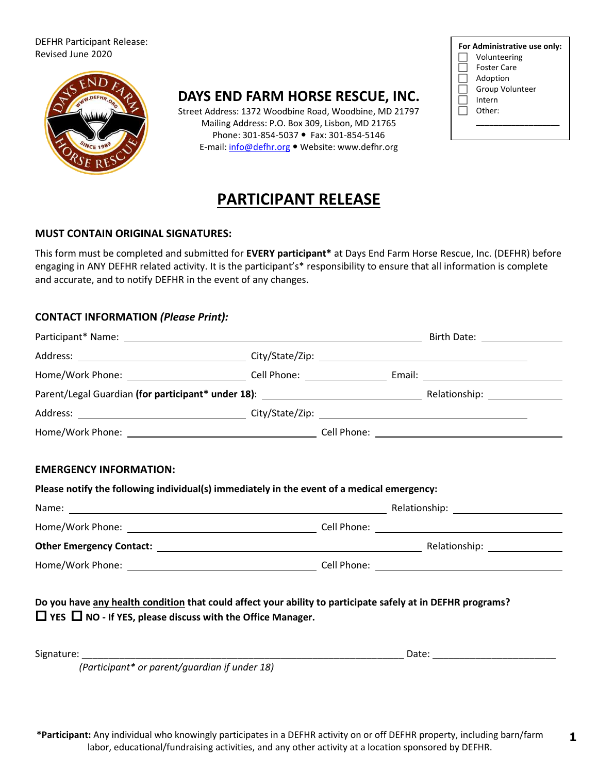#### DEFHR Participant Release: Revised June 2020



## **DAYS END FARM HORSE RESCUE, INC.**

Street Address: 1372 Woodbine Road, Woodbine, MD 21797 Mailing Address: P.O. Box 309, Lisbon, MD 21765 Phone: 301-854-5037 • Fax: 301-854-5146 E-mail: info@defhr.org . Website: www.defhr.org

| For Administrative use only: |                        |  |  |  |
|------------------------------|------------------------|--|--|--|
|                              | Volunteering           |  |  |  |
|                              | Foster Care            |  |  |  |
|                              | Adoption               |  |  |  |
|                              | <b>Group Volunteer</b> |  |  |  |
|                              | Intern                 |  |  |  |
|                              | Other:                 |  |  |  |
|                              |                        |  |  |  |

**1** 

# **PARTICIPANT RELEASE**

### **MUST CONTAIN ORIGINAL SIGNATURES:**

This form must be completed and submitted for **EVERY participant\*** at Days End Farm Horse Rescue, Inc. (DEFHR) before engaging in ANY DEFHR related activity. It is the participant's\* responsibility to ensure that all information is complete and accurate, and to notify DEFHR in the event of any changes.

### **CONTACT INFORMATION** *(Please Print):*

| <b>EMERGENCY INFORMATION:</b>                                                                                                                                                         |  |  |
|---------------------------------------------------------------------------------------------------------------------------------------------------------------------------------------|--|--|
| Please notify the following individual(s) immediately in the event of a medical emergency:                                                                                            |  |  |
|                                                                                                                                                                                       |  |  |
|                                                                                                                                                                                       |  |  |
|                                                                                                                                                                                       |  |  |
|                                                                                                                                                                                       |  |  |
| Do you have any health condition that could affect your ability to participate safely at in DEFHR programs?<br>$\Box$ YES $\Box$ NO - If YES, please discuss with the Office Manager. |  |  |
| Signature:                                                                                                                                                                            |  |  |
| (Participant* or parent/guardian if under 18)                                                                                                                                         |  |  |

**\*Participant:** Any individual who knowingly participates in a DEFHR activity on or off DEFHR property, including barn/farm labor, educational/fundraising activities, and any other activity at a location sponsored by DEFHR.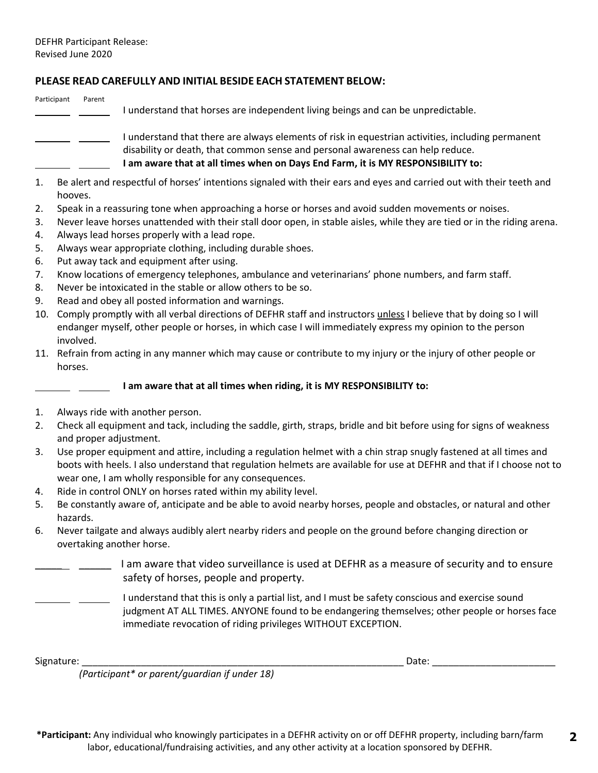### **PLEASE READ CAREFULLY AND INITIAL BESIDE EACH STATEMENT BELOW:**

#### Participant Parent

I understand that horses are independent living beings and can be unpredictable.

 $\_\_$   $\_\_$  I understand that there are always elements of risk in equestrian activities, including permanent disability or death, that common sense and personal awareness can help reduce. **I am aware that at all times when on Days End Farm, it is MY RESPONSIBILITY to:**

- 1. Be alert and respectful of horses' intentions signaled with their ears and eyes and carried out with their teeth and hooves.
- 2. Speak in a reassuring tone when approaching a horse or horses and avoid sudden movements or noises.
- 3. Never leave horses unattended with their stall door open, in stable aisles, while they are tied or in the riding arena.
- 4. Always lead horses properly with a lead rope.
- 5. Always wear appropriate clothing, including durable shoes.
- 6. Put away tack and equipment after using.
- 7. Know locations of emergency telephones, ambulance and veterinarians' phone numbers, and farm staff.
- 8. Never be intoxicated in the stable or allow others to be so.
- 9. Read and obey all posted information and warnings.
- 10. Comply promptly with all verbal directions of DEFHR staff and instructors unless I believe that by doing so I will endanger myself, other people or horses, in which case I will immediately express my opinion to the person involved.
- 11. Refrain from acting in any manner which may cause or contribute to my injury or the injury of other people or horses.

### **I am aware that at all times when riding, it is MY RESPONSIBILITY to:**

- 1. Always ride with another person.
- 2. Check all equipment and tack, including the saddle, girth, straps, bridle and bit before using for signs of weakness and proper adjustment.
- 3. Use proper equipment and attire, including a regulation helmet with a chin strap snugly fastened at all times and boots with heels. I also understand that regulation helmets are available for use at DEFHR and that if I choose not to wear one, I am wholly responsible for any consequences.
- 4. Ride in control ONLY on horses rated within my ability level.
- 5. Be constantly aware of, anticipate and be able to avoid nearby horses, people and obstacles, or natural and other hazards.
- 6. Never tailgate and always audibly alert nearby riders and people on the ground before changing direction or overtaking another horse.
	- I am aware that video surveillance is used at DEFHR as a measure of security and to ensure safety of horses, people and property.
	- I understand that this is only a partial list, and I must be safety conscious and exercise sound judgment AT ALL TIMES. ANYONE found to be endangering themselves; other people or horses face immediate revocation of riding privileges WITHOUT EXCEPTION.

Signature: \_\_\_\_\_\_\_\_\_\_\_\_\_\_\_\_\_\_\_\_\_\_\_\_\_\_\_\_\_\_\_\_\_\_\_\_\_\_\_\_\_\_\_\_\_\_\_\_\_\_\_\_\_\_\_\_\_\_\_\_ Date: \_\_\_\_\_\_\_\_\_\_\_\_\_\_\_\_\_\_\_\_\_\_\_

**2** 

*(Participant\* or parent/guardian if under 18)* 

**\*Participant:** Any individual who knowingly participates in a DEFHR activity on or off DEFHR property, including barn/farm labor, educational/fundraising activities, and any other activity at a location sponsored by DEFHR.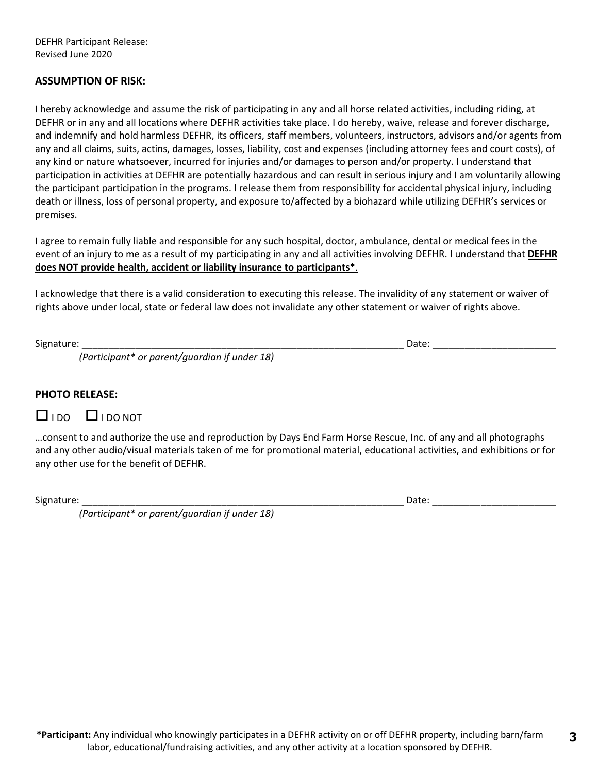DEFHR Participant Release: Revised June 2020

### **ASSUMPTION OF RISK:**

I hereby acknowledge and assume the risk of participating in any and all horse related activities, including riding, at DEFHR or in any and all locations where DEFHR activities take place. I do hereby, waive, release and forever discharge, and indemnify and hold harmless DEFHR, its officers, staff members, volunteers, instructors, advisors and/or agents from any and all claims, suits, actins, damages, losses, liability, cost and expenses (including attorney fees and court costs), of any kind or nature whatsoever, incurred for injuries and/or damages to person and/or property. I understand that participation in activities at DEFHR are potentially hazardous and can result in serious injury and I am voluntarily allowing the participant participation in the programs. I release them from responsibility for accidental physical injury, including death or illness, loss of personal property, and exposure to/affected by a biohazard while utilizing DEFHR's services or premises.

I agree to remain fully liable and responsible for any such hospital, doctor, ambulance, dental or medical fees in the event of an injury to me as a result of my participating in any and all activities involving DEFHR. I understand that **DEFHR does NOT provide health, accident or liability insurance to participants\***.

I acknowledge that there is a valid consideration to executing this release. The invalidity of any statement or waiver of rights above under local, state or federal law does not invalidate any other statement or waiver of rights above.

Signature: \_\_\_\_\_\_\_\_\_\_\_\_\_\_\_\_\_\_\_\_\_\_\_\_\_\_\_\_\_\_\_\_\_\_\_\_\_\_\_\_\_\_\_\_\_\_\_\_\_\_\_\_\_\_\_\_\_\_\_\_ Date: \_\_\_\_\_\_\_\_\_\_\_\_\_\_\_\_\_\_\_\_\_\_\_

*(Participant\* or parent/guardian if under 18)* 

### **PHOTO RELEASE:**

### $\overline{D}$  I DO NOT

…consent to and authorize the use and reproduction by Days End Farm Horse Rescue, Inc. of any and all photographs and any other audio/visual materials taken of me for promotional material, educational activities, and exhibitions or for any other use for the benefit of DEFHR.

Signature: \_\_\_\_\_\_\_\_\_\_\_\_\_\_\_\_\_\_\_\_\_\_\_\_\_\_\_\_\_\_\_\_\_\_\_\_\_\_\_\_\_\_\_\_\_\_\_\_\_\_\_\_\_\_\_\_\_\_\_\_ Date: \_\_\_\_\_\_\_\_\_\_\_\_\_\_\_\_\_\_\_\_\_\_\_

*(Participant\* or parent/guardian if under 18)*